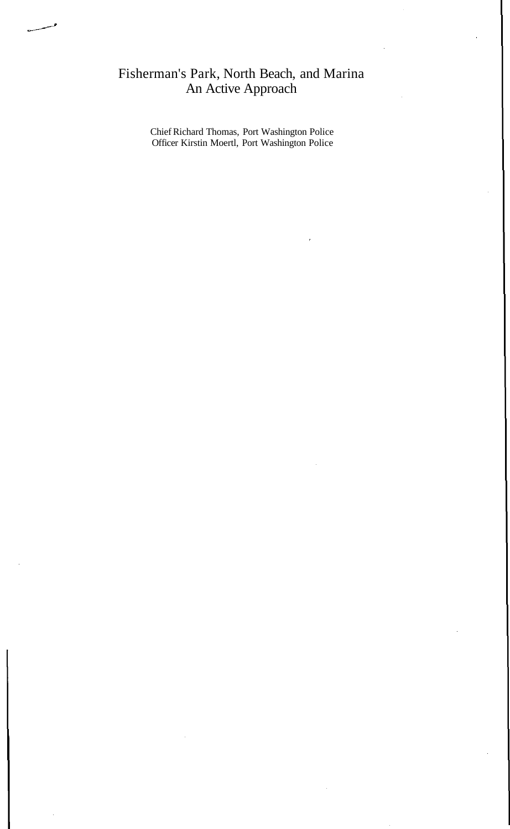## Fisherman's Park, North Beach, and Marina An Active Approach

Chief Richard Thomas, Port Washington Police Officer Kirstin Moertl, Port Washington Police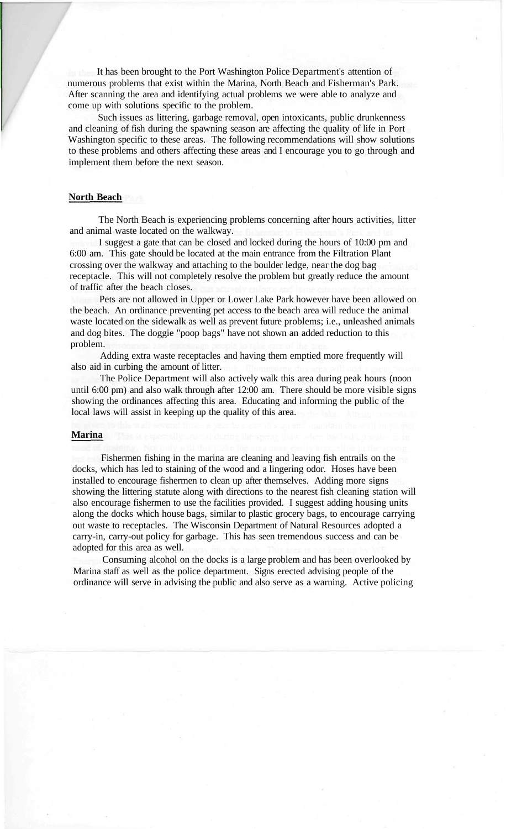It has been brought to the Port Washington Police Department's attention of numerous problems that exist within the Marina, North Beach and Fisherman's Park. After scanning the area and identifying actual problems we were able to analyze and come up with solutions specific to the problem.

Such issues as littering, garbage removal, open intoxicants, public drunkenness and cleaning of fish during the spawning season are affecting the quality of life in Port Washington specific to these areas. The following recommendations will show solutions to these problems and others affecting these areas and I encourage you to go through and implement them before the next season.

## **North Beach**

The North Beach is experiencing problems concerning after hours activities, litter and animal waste located on the walkway.

I suggest a gate that can be closed and locked during the hours of 10:00 pm and 6:00 am. This gate should be located at the main entrance from the Filtration Plant crossing over the walkway and attaching to the boulder ledge, near the dog bag receptacle. This will not completely resolve the problem but greatly reduce the amount of traffic after the beach closes.

Pets are not allowed in Upper or Lower Lake Park however have been allowed on the beach. An ordinance preventing pet access to the beach area will reduce the animal waste located on the sidewalk as well as prevent future problems; i.e., unleashed animals and dog bites. The doggie "poop bags" have not shown an added reduction to this problem.

Adding extra waste receptacles and having them emptied more frequently will also aid in curbing the amount of litter.

The Police Department will also actively walk this area during peak hours (noon until 6:00 pm) and also walk through after 12:00 am. There should be more visible signs showing the ordinances affecting this area. Educating and informing the public of the local laws will assist in keeping up the quality of this area.

## **Marina**

Fishermen fishing in the marina are cleaning and leaving fish entrails on the docks, which has led to staining of the wood and a lingering odor. Hoses have been installed to encourage fishermen to clean up after themselves. Adding more signs showing the littering statute along with directions to the nearest fish cleaning station will also encourage fishermen to use the facilities provided. I suggest adding housing units along the docks which house bags, similar to plastic grocery bags, to encourage carrying out waste to receptacles. The Wisconsin Department of Natural Resources adopted a carry-in, carry-out policy for garbage. This has seen tremendous success and can be adopted for this area as well.

Consuming alcohol on the docks is a large problem and has been overlooked by Marina staff as well as the police department. Signs erected advising people of the ordinance will serve in advising the public and also serve as a warning. Active policing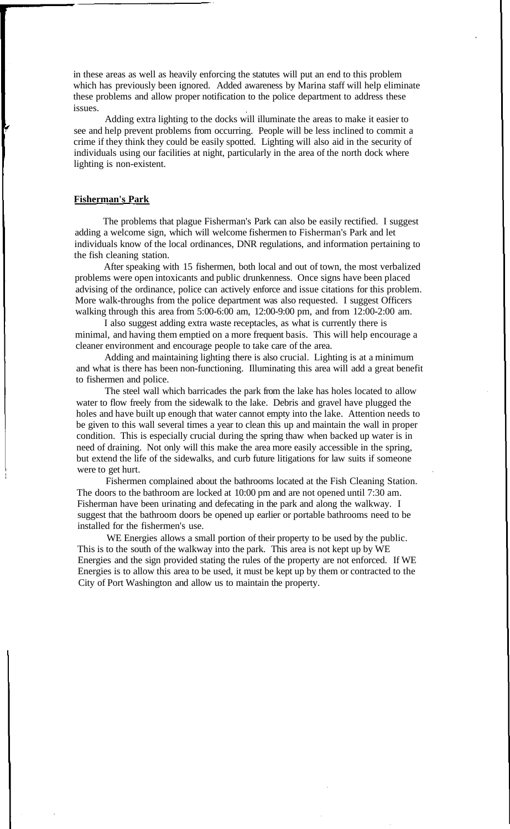in these areas as well as heavily enforcing the statutes will put an end to this problem which has previously been ignored. Added awareness by Marina staff will help eliminate these problems and allow proper notification to the police department to address these issues.

Adding extra lighting to the docks will illuminate the areas to make it easier to see and help prevent problems from occurring. People will be less inclined to commit a crime if they think they could be easily spotted. Lighting will also aid in the security of individuals using our facilities at night, particularly in the area of the north dock where lighting is non-existent.

## **Fisherman's Park**

The problems that plague Fisherman's Park can also be easily rectified. I suggest adding a welcome sign, which will welcome fishermen to Fisherman's Park and let individuals know of the local ordinances, DNR regulations, and information pertaining to the fish cleaning station.

After speaking with 15 fishermen, both local and out of town, the most verbalized problems were open intoxicants and public drunkenness. Once signs have been placed advising of the ordinance, police can actively enforce and issue citations for this problem. More walk-throughs from the police department was also requested. I suggest Officers walking through this area from 5:00-6:00 am, 12:00-9:00 pm, and from 12:00-2:00 am.

I also suggest adding extra waste receptacles, as what is currently there is minimal, and having them emptied on a more frequent basis. This will help encourage a cleaner environment and encourage people to take care of the area.

Adding and maintaining lighting there is also crucial. Lighting is at a minimum and what is there has been non-functioning. Illuminating this area will add a great benefit to fishermen and police.

The steel wall which barricades the park from the lake has holes located to allow water to flow freely from the sidewalk to the lake. Debris and gravel have plugged the holes and have built up enough that water cannot empty into the lake. Attention needs to be given to this wall several times a year to clean this up and maintain the wall in proper condition. This is especially crucial during the spring thaw when backed up water is in need of draining. Not only will this make the area more easily accessible in the spring, but extend the life of the sidewalks, and curb future litigations for law suits if someone were to get hurt.

Fishermen complained about the bathrooms located at the Fish Cleaning Station. The doors to the bathroom are locked at 10:00 pm and are not opened until 7:30 am. Fisherman have been urinating and defecating in the park and along the walkway. I suggest that the bathroom doors be opened up earlier or portable bathrooms need to be installed for the fishermen's use.

WE Energies allows a small portion of their property to be used by the public. This is to the south of the walkway into the park. This area is not kept up by WE Energies and the sign provided stating the rules of the property are not enforced. If WE Energies is to allow this area to be used, it must be kept up by them or contracted to the City of Port Washington and allow us to maintain the property.